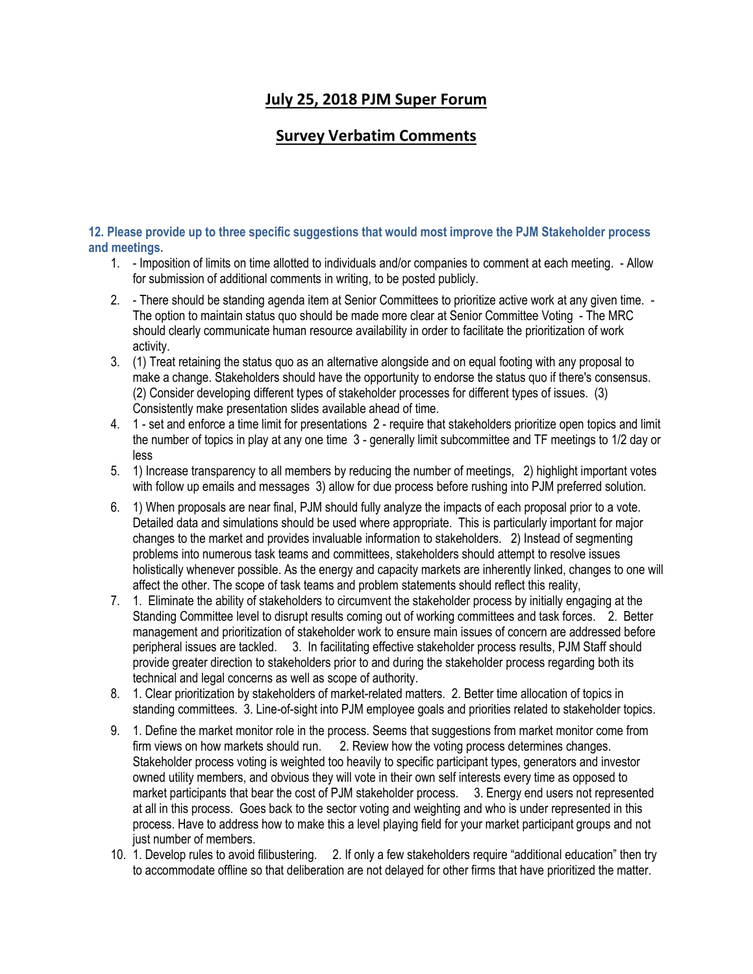# **July 25, 2018 PJM Super Forum**

## **Survey Verbatim Comments**

**12. Please provide up to three specific suggestions that would most improve the PJM Stakeholder process and meetings.**

- 1. Imposition of limits on time allotted to individuals and/or companies to comment at each meeting. Allow for submission of additional comments in writing, to be posted publicly.
- 2. There should be standing agenda item at Senior Committees to prioritize active work at any given time. The option to maintain status quo should be made more clear at Senior Committee Voting - The MRC should clearly communicate human resource availability in order to facilitate the prioritization of work activity.
- 3. (1) Treat retaining the status quo as an alternative alongside and on equal footing with any proposal to make a change. Stakeholders should have the opportunity to endorse the status quo if there's consensus. (2) Consider developing different types of stakeholder processes for different types of issues. (3) Consistently make presentation slides available ahead of time.
- 4. 1 set and enforce a time limit for presentations 2 require that stakeholders prioritize open topics and limit the number of topics in play at any one time 3 - generally limit subcommittee and TF meetings to 1/2 day or less
- 5. 1) Increase transparency to all members by reducing the number of meetings, 2) highlight important votes with follow up emails and messages 3) allow for due process before rushing into PJM preferred solution.
- 6. 1) When proposals are near final, PJM should fully analyze the impacts of each proposal prior to a vote. Detailed data and simulations should be used where appropriate. This is particularly important for major changes to the market and provides invaluable information to stakeholders. 2) Instead of segmenting problems into numerous task teams and committees, stakeholders should attempt to resolve issues holistically whenever possible. As the energy and capacity markets are inherently linked, changes to one will affect the other. The scope of task teams and problem statements should reflect this reality,
- 7. 1. Eliminate the ability of stakeholders to circumvent the stakeholder process by initially engaging at the Standing Committee level to disrupt results coming out of working committees and task forces. 2. Better management and prioritization of stakeholder work to ensure main issues of concern are addressed before peripheral issues are tackled. 3. In facilitating effective stakeholder process results, PJM Staff should provide greater direction to stakeholders prior to and during the stakeholder process regarding both its technical and legal concerns as well as scope of authority.
- 8. 1. Clear prioritization by stakeholders of market-related matters. 2. Better time allocation of topics in standing committees. 3. Line-of-sight into PJM employee goals and priorities related to stakeholder topics.
- 9. 1. Define the market monitor role in the process. Seems that suggestions from market monitor come from firm views on how markets should run. 2. Review how the voting process determines changes. Stakeholder process voting is weighted too heavily to specific participant types, generators and investor owned utility members, and obvious they will vote in their own self interests every time as opposed to market participants that bear the cost of PJM stakeholder process. 3. Energy end users not represented at all in this process. Goes back to the sector voting and weighting and who is under represented in this process. Have to address how to make this a level playing field for your market participant groups and not just number of members.
- 10. 1. Develop rules to avoid filibustering. 2. If only a few stakeholders require "additional education" then try to accommodate offline so that deliberation are not delayed for other firms that have prioritized the matter.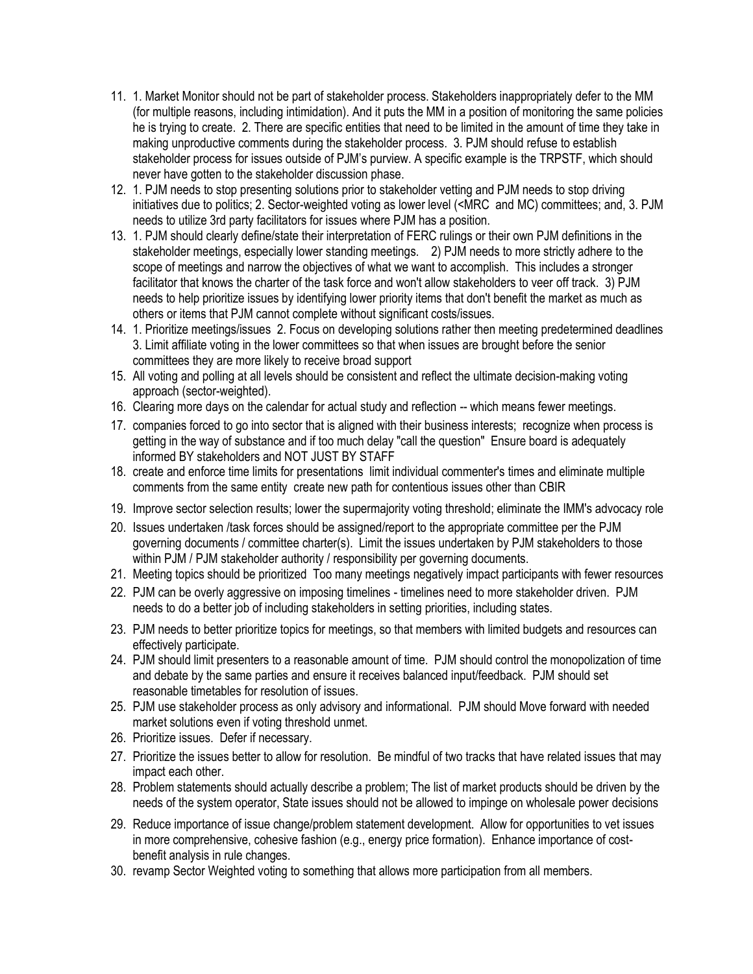- 11. 1. Market Monitor should not be part of stakeholder process. Stakeholders inappropriately defer to the MM (for multiple reasons, including intimidation). And it puts the MM in a position of monitoring the same policies he is trying to create. 2. There are specific entities that need to be limited in the amount of time they take in making unproductive comments during the stakeholder process. 3. PJM should refuse to establish stakeholder process for issues outside of PJM's purview. A specific example is the TRPSTF, which should never have gotten to the stakeholder discussion phase.
- 12. 1. PJM needs to stop presenting solutions prior to stakeholder vetting and PJM needs to stop driving initiatives due to politics; 2. Sector-weighted voting as lower level (<MRC and MC) committees; and, 3. PJM needs to utilize 3rd party facilitators for issues where PJM has a position.
- 13. 1. PJM should clearly define/state their interpretation of FERC rulings or their own PJM definitions in the stakeholder meetings, especially lower standing meetings. 2) PJM needs to more strictly adhere to the scope of meetings and narrow the objectives of what we want to accomplish. This includes a stronger facilitator that knows the charter of the task force and won't allow stakeholders to veer off track. 3) PJM needs to help prioritize issues by identifying lower priority items that don't benefit the market as much as others or items that PJM cannot complete without significant costs/issues.
- 14. 1. Prioritize meetings/issues 2. Focus on developing solutions rather then meeting predetermined deadlines 3. Limit affiliate voting in the lower committees so that when issues are brought before the senior committees they are more likely to receive broad support
- 15. All voting and polling at all levels should be consistent and reflect the ultimate decision-making voting approach (sector-weighted).
- 16. Clearing more days on the calendar for actual study and reflection -- which means fewer meetings.
- 17. companies forced to go into sector that is aligned with their business interests; recognize when process is getting in the way of substance and if too much delay "call the question" Ensure board is adequately informed BY stakeholders and NOT JUST BY STAFF
- 18. create and enforce time limits for presentations limit individual commenter's times and eliminate multiple comments from the same entity create new path for contentious issues other than CBIR
- 19. Improve sector selection results; lower the supermajority voting threshold; eliminate the IMM's advocacy role
- 20. Issues undertaken /task forces should be assigned/report to the appropriate committee per the PJM governing documents / committee charter(s). Limit the issues undertaken by PJM stakeholders to those within PJM / PJM stakeholder authority / responsibility per governing documents.
- 21. Meeting topics should be prioritized Too many meetings negatively impact participants with fewer resources
- 22. PJM can be overly aggressive on imposing timelines timelines need to more stakeholder driven. PJM needs to do a better job of including stakeholders in setting priorities, including states.
- 23. PJM needs to better prioritize topics for meetings, so that members with limited budgets and resources can effectively participate.
- 24. PJM should limit presenters to a reasonable amount of time. PJM should control the monopolization of time and debate by the same parties and ensure it receives balanced input/feedback. PJM should set reasonable timetables for resolution of issues.
- 25. PJM use stakeholder process as only advisory and informational. PJM should Move forward with needed market solutions even if voting threshold unmet.
- 26. Prioritize issues. Defer if necessary.
- 27. Prioritize the issues better to allow for resolution. Be mindful of two tracks that have related issues that may impact each other.
- 28. Problem statements should actually describe a problem; The list of market products should be driven by the needs of the system operator, State issues should not be allowed to impinge on wholesale power decisions
- 29. Reduce importance of issue change/problem statement development. Allow for opportunities to vet issues in more comprehensive, cohesive fashion (e.g., energy price formation). Enhance importance of costbenefit analysis in rule changes.
- 30. revamp Sector Weighted voting to something that allows more participation from all members.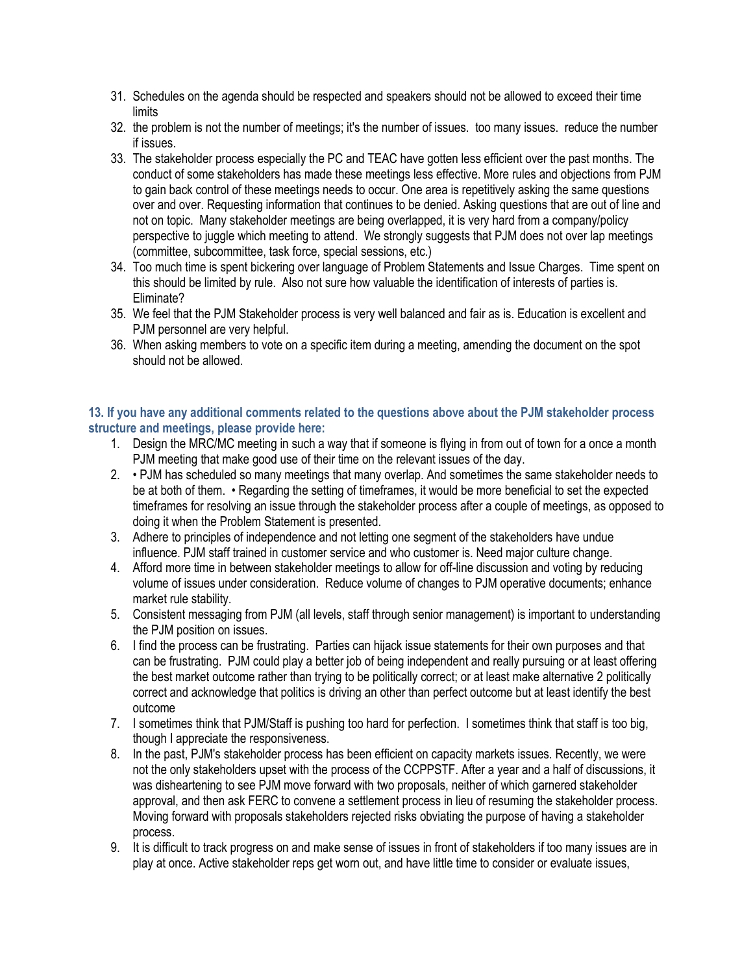- 31. Schedules on the agenda should be respected and speakers should not be allowed to exceed their time **limits**
- 32. the problem is not the number of meetings; it's the number of issues. too many issues. reduce the number if issues.
- 33. The stakeholder process especially the PC and TEAC have gotten less efficient over the past months. The conduct of some stakeholders has made these meetings less effective. More rules and objections from PJM to gain back control of these meetings needs to occur. One area is repetitively asking the same questions over and over. Requesting information that continues to be denied. Asking questions that are out of line and not on topic. Many stakeholder meetings are being overlapped, it is very hard from a company/policy perspective to juggle which meeting to attend. We strongly suggests that PJM does not over lap meetings (committee, subcommittee, task force, special sessions, etc.)
- 34. Too much time is spent bickering over language of Problem Statements and Issue Charges. Time spent on this should be limited by rule. Also not sure how valuable the identification of interests of parties is. Eliminate?
- 35. We feel that the PJM Stakeholder process is very well balanced and fair as is. Education is excellent and PJM personnel are very helpful.
- 36. When asking members to vote on a specific item during a meeting, amending the document on the spot should not be allowed.

### **13. If you have any additional comments related to the questions above about the PJM stakeholder process structure and meetings, please provide here:**

- 1. Design the MRC/MC meeting in such a way that if someone is flying in from out of town for a once a month PJM meeting that make good use of their time on the relevant issues of the day.
- 2. PJM has scheduled so many meetings that many overlap. And sometimes the same stakeholder needs to be at both of them. • Regarding the setting of timeframes, it would be more beneficial to set the expected timeframes for resolving an issue through the stakeholder process after a couple of meetings, as opposed to doing it when the Problem Statement is presented.
- 3. Adhere to principles of independence and not letting one segment of the stakeholders have undue influence. PJM staff trained in customer service and who customer is. Need major culture change.
- 4. Afford more time in between stakeholder meetings to allow for off-line discussion and voting by reducing volume of issues under consideration. Reduce volume of changes to PJM operative documents; enhance market rule stability.
- 5. Consistent messaging from PJM (all levels, staff through senior management) is important to understanding the PJM position on issues.
- 6. I find the process can be frustrating. Parties can hijack issue statements for their own purposes and that can be frustrating. PJM could play a better job of being independent and really pursuing or at least offering the best market outcome rather than trying to be politically correct; or at least make alternative 2 politically correct and acknowledge that politics is driving an other than perfect outcome but at least identify the best outcome
- 7. I sometimes think that PJM/Staff is pushing too hard for perfection. I sometimes think that staff is too big, though I appreciate the responsiveness.
- 8. In the past, PJM's stakeholder process has been efficient on capacity markets issues. Recently, we were not the only stakeholders upset with the process of the CCPPSTF. After a year and a half of discussions, it was disheartening to see PJM move forward with two proposals, neither of which garnered stakeholder approval, and then ask FERC to convene a settlement process in lieu of resuming the stakeholder process. Moving forward with proposals stakeholders rejected risks obviating the purpose of having a stakeholder process.
- 9. It is difficult to track progress on and make sense of issues in front of stakeholders if too many issues are in play at once. Active stakeholder reps get worn out, and have little time to consider or evaluate issues,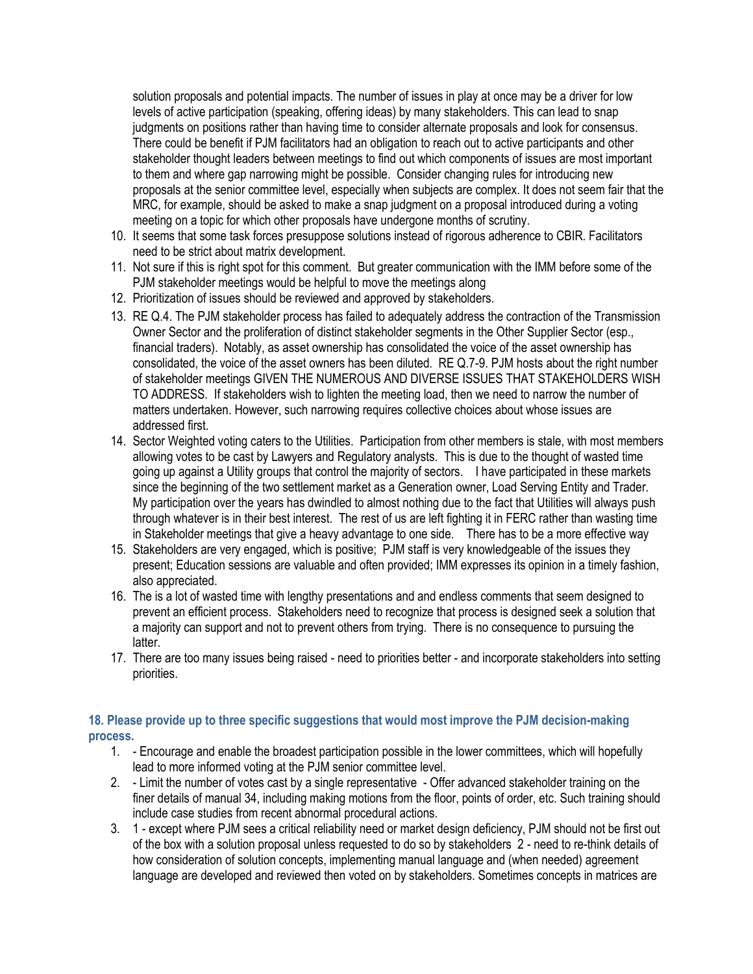solution proposals and potential impacts. The number of issues in play at once may be a driver for low levels of active participation (speaking, offering ideas) by many stakeholders. This can lead to snap judgments on positions rather than having time to consider alternate proposals and look for consensus. There could be benefit if PJM facilitators had an obligation to reach out to active participants and other stakeholder thought leaders between meetings to find out which components of issues are most important to them and where gap narrowing might be possible. Consider changing rules for introducing new proposals at the senior committee level, especially when subjects are complex. It does not seem fair that the MRC, for example, should be asked to make a snap judgment on a proposal introduced during a voting meeting on a topic for which other proposals have undergone months of scrutiny.

- 10. It seems that some task forces presuppose solutions instead of rigorous adherence to CBIR. Facilitators need to be strict about matrix development.
- 11. Not sure if this is right spot for this comment. But greater communication with the IMM before some of the PJM stakeholder meetings would be helpful to move the meetings along
- 12. Prioritization of issues should be reviewed and approved by stakeholders.
- 13. RE Q.4. The PJM stakeholder process has failed to adequately address the contraction of the Transmission Owner Sector and the proliferation of distinct stakeholder segments in the Other Supplier Sector (esp., financial traders). Notably, as asset ownership has consolidated the voice of the asset ownership has consolidated, the voice of the asset owners has been diluted. RE Q.7-9. PJM hosts about the right number of stakeholder meetings GIVEN THE NUMEROUS AND DIVERSE ISSUES THAT STAKEHOLDERS WISH TO ADDRESS. If stakeholders wish to lighten the meeting load, then we need to narrow the number of matters undertaken. However, such narrowing requires collective choices about whose issues are addressed first.
- 14. Sector Weighted voting caters to the Utilities. Participation from other members is stale, with most members allowing votes to be cast by Lawyers and Regulatory analysts. This is due to the thought of wasted time going up against a Utility groups that control the majority of sectors. I have participated in these markets since the beginning of the two settlement market as a Generation owner, Load Serving Entity and Trader. My participation over the years has dwindled to almost nothing due to the fact that Utilities will always push through whatever is in their best interest. The rest of us are left fighting it in FERC rather than wasting time in Stakeholder meetings that give a heavy advantage to one side. There has to be a more effective way
- 15. Stakeholders are very engaged, which is positive; PJM staff is very knowledgeable of the issues they present; Education sessions are valuable and often provided; IMM expresses its opinion in a timely fashion, also appreciated.
- 16. The is a lot of wasted time with lengthy presentations and and endless comments that seem designed to prevent an efficient process. Stakeholders need to recognize that process is designed seek a solution that a majority can support and not to prevent others from trying. There is no consequence to pursuing the latter.
- 17. There are too many issues being raised need to priorities better and incorporate stakeholders into setting priorities.

## **18. Please provide up to three specific suggestions that would most improve the PJM decision-making process.**

- 1. Encourage and enable the broadest participation possible in the lower committees, which will hopefully lead to more informed voting at the PJM senior committee level.
- 2. Limit the number of votes cast by a single representative Offer advanced stakeholder training on the finer details of manual 34, including making motions from the floor, points of order, etc. Such training should include case studies from recent abnormal procedural actions.
- 3. 1 except where PJM sees a critical reliability need or market design deficiency, PJM should not be first out of the box with a solution proposal unless requested to do so by stakeholders 2 - need to re-think details of how consideration of solution concepts, implementing manual language and (when needed) agreement language are developed and reviewed then voted on by stakeholders. Sometimes concepts in matrices are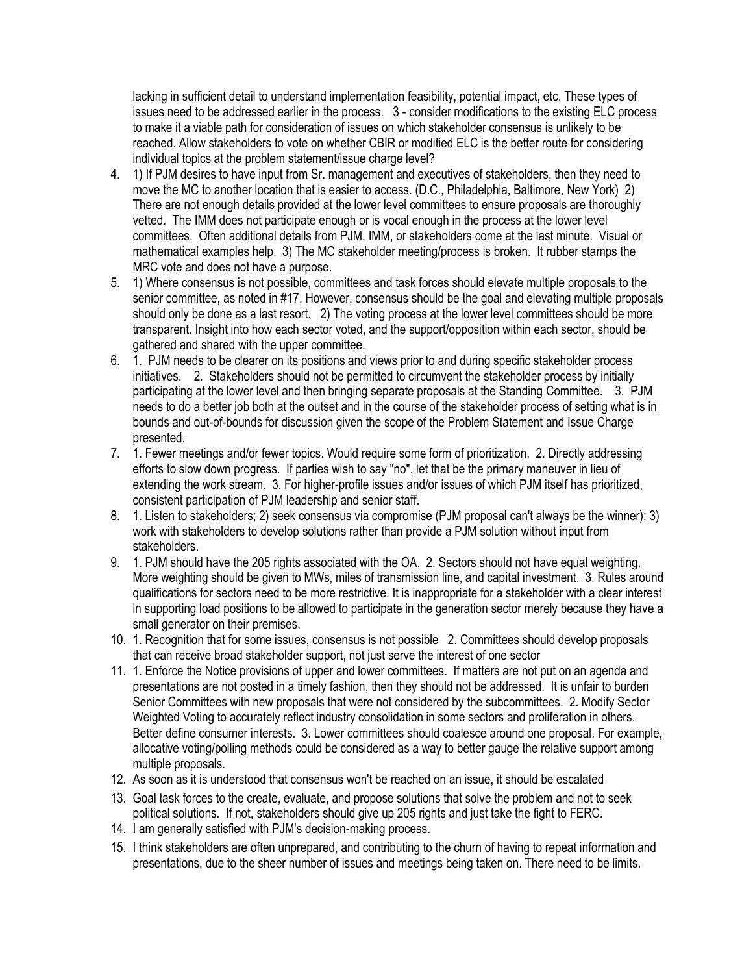lacking in sufficient detail to understand implementation feasibility, potential impact, etc. These types of issues need to be addressed earlier in the process. 3 - consider modifications to the existing ELC process to make it a viable path for consideration of issues on which stakeholder consensus is unlikely to be reached. Allow stakeholders to vote on whether CBIR or modified ELC is the better route for considering individual topics at the problem statement/issue charge level?

- 4. 1) If PJM desires to have input from Sr. management and executives of stakeholders, then they need to move the MC to another location that is easier to access. (D.C., Philadelphia, Baltimore, New York) 2) There are not enough details provided at the lower level committees to ensure proposals are thoroughly vetted. The IMM does not participate enough or is vocal enough in the process at the lower level committees. Often additional details from PJM, IMM, or stakeholders come at the last minute. Visual or mathematical examples help. 3) The MC stakeholder meeting/process is broken. It rubber stamps the MRC vote and does not have a purpose.
- 5. 1) Where consensus is not possible, committees and task forces should elevate multiple proposals to the senior committee, as noted in #17. However, consensus should be the goal and elevating multiple proposals should only be done as a last resort. 2) The voting process at the lower level committees should be more transparent. Insight into how each sector voted, and the support/opposition within each sector, should be gathered and shared with the upper committee.
- 6. 1. PJM needs to be clearer on its positions and views prior to and during specific stakeholder process initiatives. 2. Stakeholders should not be permitted to circumvent the stakeholder process by initially participating at the lower level and then bringing separate proposals at the Standing Committee. 3. PJM needs to do a better job both at the outset and in the course of the stakeholder process of setting what is in bounds and out-of-bounds for discussion given the scope of the Problem Statement and Issue Charge presented.
- 7. 1. Fewer meetings and/or fewer topics. Would require some form of prioritization. 2. Directly addressing efforts to slow down progress. If parties wish to say "no", let that be the primary maneuver in lieu of extending the work stream. 3. For higher-profile issues and/or issues of which PJM itself has prioritized, consistent participation of PJM leadership and senior staff.
- 8. 1. Listen to stakeholders; 2) seek consensus via compromise (PJM proposal can't always be the winner); 3) work with stakeholders to develop solutions rather than provide a PJM solution without input from stakeholders.
- 9. 1. PJM should have the 205 rights associated with the OA. 2. Sectors should not have equal weighting. More weighting should be given to MWs, miles of transmission line, and capital investment. 3. Rules around qualifications for sectors need to be more restrictive. It is inappropriate for a stakeholder with a clear interest in supporting load positions to be allowed to participate in the generation sector merely because they have a small generator on their premises.
- 10. 1. Recognition that for some issues, consensus is not possible 2. Committees should develop proposals that can receive broad stakeholder support, not just serve the interest of one sector
- 11. 1. Enforce the Notice provisions of upper and lower committees. If matters are not put on an agenda and presentations are not posted in a timely fashion, then they should not be addressed. It is unfair to burden Senior Committees with new proposals that were not considered by the subcommittees. 2. Modify Sector Weighted Voting to accurately reflect industry consolidation in some sectors and proliferation in others. Better define consumer interests. 3. Lower committees should coalesce around one proposal. For example, allocative voting/polling methods could be considered as a way to better gauge the relative support among multiple proposals.
- 12. As soon as it is understood that consensus won't be reached on an issue, it should be escalated
- 13. Goal task forces to the create, evaluate, and propose solutions that solve the problem and not to seek political solutions. If not, stakeholders should give up 205 rights and just take the fight to FERC.
- 14. I am generally satisfied with PJM's decision-making process.
- 15. I think stakeholders are often unprepared, and contributing to the churn of having to repeat information and presentations, due to the sheer number of issues and meetings being taken on. There need to be limits.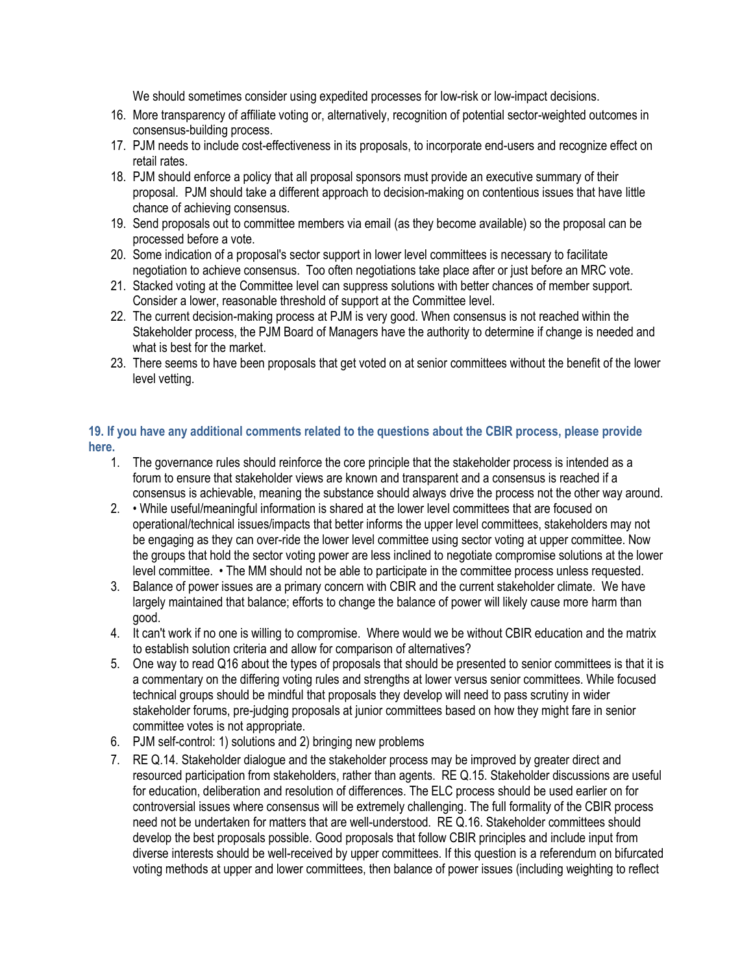We should sometimes consider using expedited processes for low-risk or low-impact decisions.

- 16. More transparency of affiliate voting or, alternatively, recognition of potential sector-weighted outcomes in consensus-building process.
- 17. PJM needs to include cost-effectiveness in its proposals, to incorporate end-users and recognize effect on retail rates.
- 18. PJM should enforce a policy that all proposal sponsors must provide an executive summary of their proposal. PJM should take a different approach to decision-making on contentious issues that have little chance of achieving consensus.
- 19. Send proposals out to committee members via email (as they become available) so the proposal can be processed before a vote.
- 20. Some indication of a proposal's sector support in lower level committees is necessary to facilitate negotiation to achieve consensus. Too often negotiations take place after or just before an MRC vote.
- 21. Stacked voting at the Committee level can suppress solutions with better chances of member support. Consider a lower, reasonable threshold of support at the Committee level.
- 22. The current decision-making process at PJM is very good. When consensus is not reached within the Stakeholder process, the PJM Board of Managers have the authority to determine if change is needed and what is best for the market.
- 23. There seems to have been proposals that get voted on at senior committees without the benefit of the lower level vetting.

## **19. If you have any additional comments related to the questions about the CBIR process, please provide here.**

- 1. The governance rules should reinforce the core principle that the stakeholder process is intended as a forum to ensure that stakeholder views are known and transparent and a consensus is reached if a consensus is achievable, meaning the substance should always drive the process not the other way around.
- 2. While useful/meaningful information is shared at the lower level committees that are focused on operational/technical issues/impacts that better informs the upper level committees, stakeholders may not be engaging as they can over-ride the lower level committee using sector voting at upper committee. Now the groups that hold the sector voting power are less inclined to negotiate compromise solutions at the lower level committee. • The MM should not be able to participate in the committee process unless requested.
- 3. Balance of power issues are a primary concern with CBIR and the current stakeholder climate. We have largely maintained that balance; efforts to change the balance of power will likely cause more harm than good.
- 4. It can't work if no one is willing to compromise. Where would we be without CBIR education and the matrix to establish solution criteria and allow for comparison of alternatives?
- 5. One way to read Q16 about the types of proposals that should be presented to senior committees is that it is a commentary on the differing voting rules and strengths at lower versus senior committees. While focused technical groups should be mindful that proposals they develop will need to pass scrutiny in wider stakeholder forums, pre-judging proposals at junior committees based on how they might fare in senior committee votes is not appropriate.
- 6. PJM self-control: 1) solutions and 2) bringing new problems
- 7. RE Q.14. Stakeholder dialogue and the stakeholder process may be improved by greater direct and resourced participation from stakeholders, rather than agents. RE Q.15. Stakeholder discussions are useful for education, deliberation and resolution of differences. The ELC process should be used earlier on for controversial issues where consensus will be extremely challenging. The full formality of the CBIR process need not be undertaken for matters that are well-understood. RE Q.16. Stakeholder committees should develop the best proposals possible. Good proposals that follow CBIR principles and include input from diverse interests should be well-received by upper committees. If this question is a referendum on bifurcated voting methods at upper and lower committees, then balance of power issues (including weighting to reflect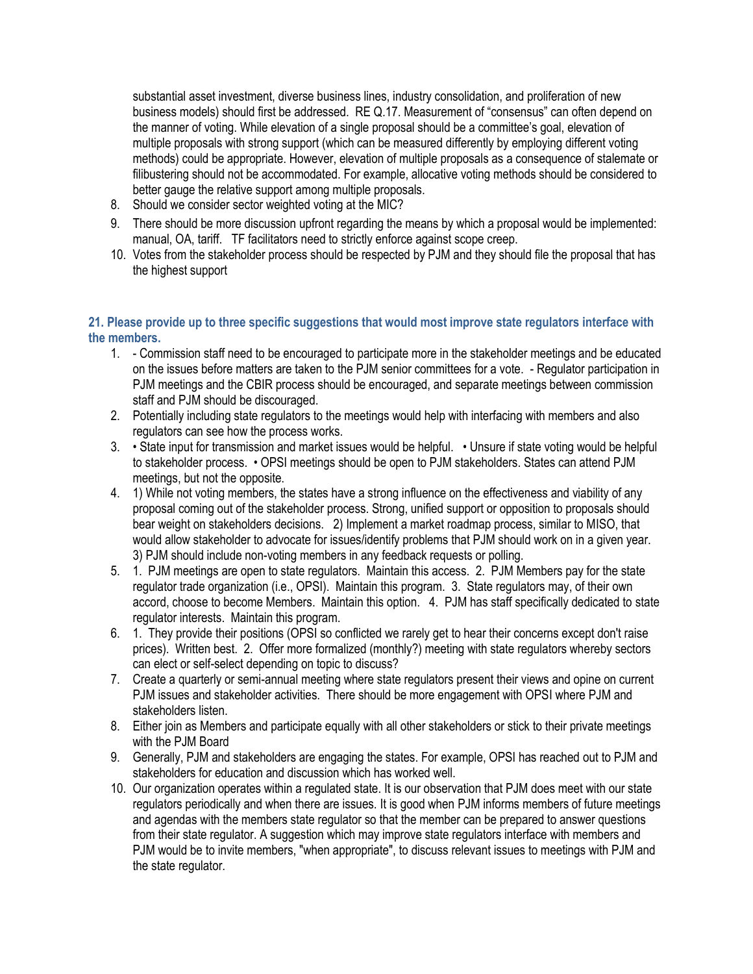substantial asset investment, diverse business lines, industry consolidation, and proliferation of new business models) should first be addressed. RE Q.17. Measurement of "consensus" can often depend on the manner of voting. While elevation of a single proposal should be a committee's goal, elevation of multiple proposals with strong support (which can be measured differently by employing different voting methods) could be appropriate. However, elevation of multiple proposals as a consequence of stalemate or filibustering should not be accommodated. For example, allocative voting methods should be considered to better gauge the relative support among multiple proposals.

- 8. Should we consider sector weighted voting at the MIC?
- 9. There should be more discussion upfront regarding the means by which a proposal would be implemented: manual, OA, tariff. TF facilitators need to strictly enforce against scope creep.
- 10. Votes from the stakeholder process should be respected by PJM and they should file the proposal that has the highest support

#### **21. Please provide up to three specific suggestions that would most improve state regulators interface with the members.**

- 1. Commission staff need to be encouraged to participate more in the stakeholder meetings and be educated on the issues before matters are taken to the PJM senior committees for a vote. - Regulator participation in PJM meetings and the CBIR process should be encouraged, and separate meetings between commission staff and PJM should be discouraged.
- 2. Potentially including state regulators to the meetings would help with interfacing with members and also regulators can see how the process works.
- 3. State input for transmission and market issues would be helpful. Unsure if state voting would be helpful to stakeholder process. • OPSI meetings should be open to PJM stakeholders. States can attend PJM meetings, but not the opposite.
- 4. 1) While not voting members, the states have a strong influence on the effectiveness and viability of any proposal coming out of the stakeholder process. Strong, unified support or opposition to proposals should bear weight on stakeholders decisions. 2) Implement a market roadmap process, similar to MISO, that would allow stakeholder to advocate for issues/identify problems that PJM should work on in a given year. 3) PJM should include non-voting members in any feedback requests or polling.
- 5. 1. PJM meetings are open to state regulators. Maintain this access. 2. PJM Members pay for the state regulator trade organization (i.e., OPSI). Maintain this program. 3. State regulators may, of their own accord, choose to become Members. Maintain this option. 4. PJM has staff specifically dedicated to state regulator interests. Maintain this program.
- 6. 1. They provide their positions (OPSI so conflicted we rarely get to hear their concerns except don't raise prices). Written best. 2. Offer more formalized (monthly?) meeting with state regulators whereby sectors can elect or self-select depending on topic to discuss?
- 7. Create a quarterly or semi-annual meeting where state regulators present their views and opine on current PJM issues and stakeholder activities. There should be more engagement with OPSI where PJM and stakeholders listen.
- 8. Either join as Members and participate equally with all other stakeholders or stick to their private meetings with the PJM Board
- 9. Generally, PJM and stakeholders are engaging the states. For example, OPSI has reached out to PJM and stakeholders for education and discussion which has worked well.
- 10. Our organization operates within a regulated state. It is our observation that PJM does meet with our state regulators periodically and when there are issues. It is good when PJM informs members of future meetings and agendas with the members state regulator so that the member can be prepared to answer questions from their state regulator. A suggestion which may improve state regulators interface with members and PJM would be to invite members, "when appropriate", to discuss relevant issues to meetings with PJM and the state regulator.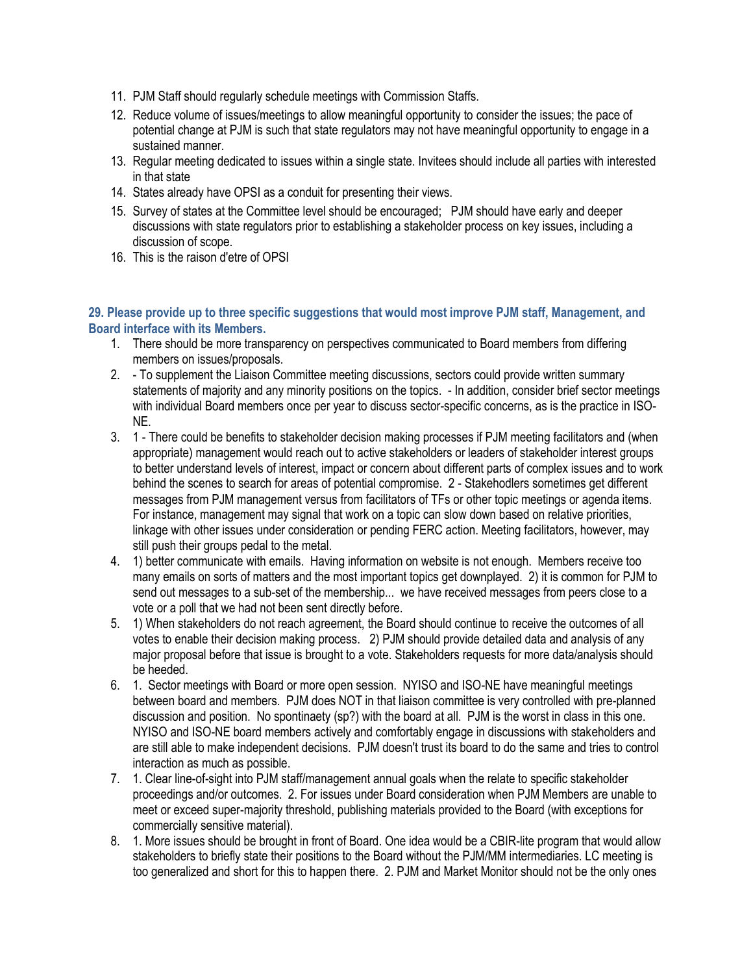- 11. PJM Staff should regularly schedule meetings with Commission Staffs.
- 12. Reduce volume of issues/meetings to allow meaningful opportunity to consider the issues; the pace of potential change at PJM is such that state regulators may not have meaningful opportunity to engage in a sustained manner.
- 13. Regular meeting dedicated to issues within a single state. Invitees should include all parties with interested in that state
- 14. States already have OPSI as a conduit for presenting their views.
- 15. Survey of states at the Committee level should be encouraged; PJM should have early and deeper discussions with state regulators prior to establishing a stakeholder process on key issues, including a discussion of scope.
- 16. This is the raison d'etre of OPSI

### **29. Please provide up to three specific suggestions that would most improve PJM staff, Management, and Board interface with its Members.**

- 1. There should be more transparency on perspectives communicated to Board members from differing members on issues/proposals.
- 2. To supplement the Liaison Committee meeting discussions, sectors could provide written summary statements of majority and any minority positions on the topics. - In addition, consider brief sector meetings with individual Board members once per year to discuss sector-specific concerns, as is the practice in ISO-NE.
- 3. 1 There could be benefits to stakeholder decision making processes if PJM meeting facilitators and (when appropriate) management would reach out to active stakeholders or leaders of stakeholder interest groups to better understand levels of interest, impact or concern about different parts of complex issues and to work behind the scenes to search for areas of potential compromise. 2 - Stakehodlers sometimes get different messages from PJM management versus from facilitators of TFs or other topic meetings or agenda items. For instance, management may signal that work on a topic can slow down based on relative priorities, linkage with other issues under consideration or pending FERC action. Meeting facilitators, however, may still push their groups pedal to the metal.
- 4. 1) better communicate with emails. Having information on website is not enough. Members receive too many emails on sorts of matters and the most important topics get downplayed. 2) it is common for PJM to send out messages to a sub-set of the membership... we have received messages from peers close to a vote or a poll that we had not been sent directly before.
- 5. 1) When stakeholders do not reach agreement, the Board should continue to receive the outcomes of all votes to enable their decision making process. 2) PJM should provide detailed data and analysis of any major proposal before that issue is brought to a vote. Stakeholders requests for more data/analysis should be heeded.
- 6. 1. Sector meetings with Board or more open session. NYISO and ISO-NE have meaningful meetings between board and members. PJM does NOT in that liaison committee is very controlled with pre-planned discussion and position. No spontinaety (sp?) with the board at all. PJM is the worst in class in this one. NYISO and ISO-NE board members actively and comfortably engage in discussions with stakeholders and are still able to make independent decisions. PJM doesn't trust its board to do the same and tries to control interaction as much as possible.
- 7. 1. Clear line-of-sight into PJM staff/management annual goals when the relate to specific stakeholder proceedings and/or outcomes. 2. For issues under Board consideration when PJM Members are unable to meet or exceed super-majority threshold, publishing materials provided to the Board (with exceptions for commercially sensitive material).
- 8. 1. More issues should be brought in front of Board. One idea would be a CBIR-lite program that would allow stakeholders to briefly state their positions to the Board without the PJM/MM intermediaries. LC meeting is too generalized and short for this to happen there. 2. PJM and Market Monitor should not be the only ones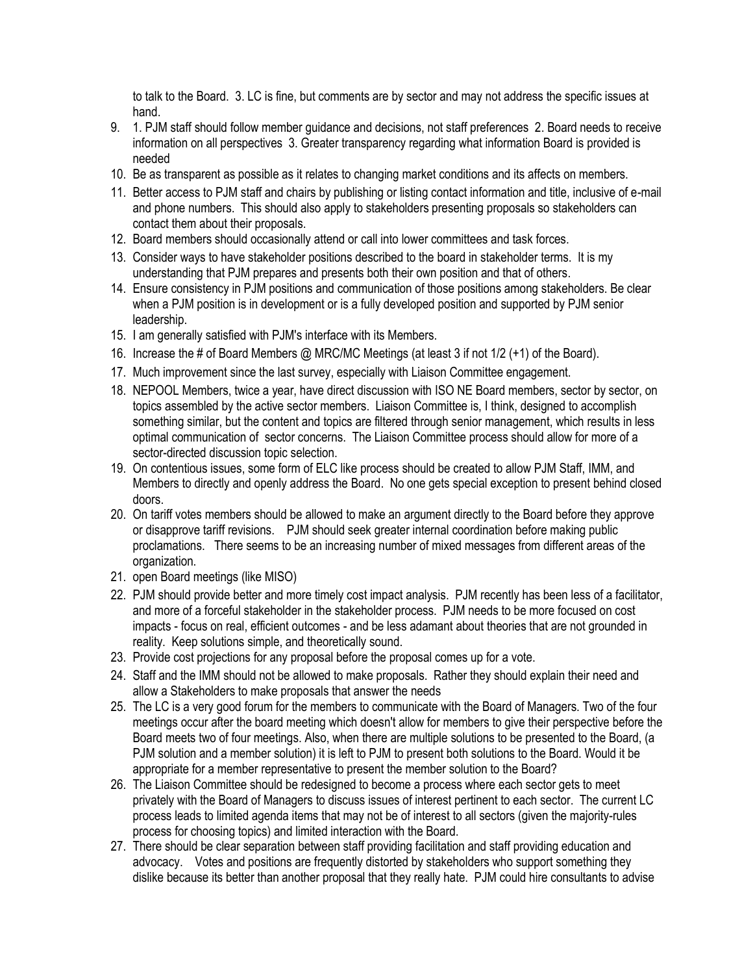to talk to the Board. 3. LC is fine, but comments are by sector and may not address the specific issues at hand.

- 9. 1. PJM staff should follow member guidance and decisions, not staff preferences 2. Board needs to receive information on all perspectives 3. Greater transparency regarding what information Board is provided is needed
- 10. Be as transparent as possible as it relates to changing market conditions and its affects on members.
- 11. Better access to PJM staff and chairs by publishing or listing contact information and title, inclusive of e-mail and phone numbers. This should also apply to stakeholders presenting proposals so stakeholders can contact them about their proposals.
- 12. Board members should occasionally attend or call into lower committees and task forces.
- 13. Consider ways to have stakeholder positions described to the board in stakeholder terms. It is my understanding that PJM prepares and presents both their own position and that of others.
- 14. Ensure consistency in PJM positions and communication of those positions among stakeholders. Be clear when a PJM position is in development or is a fully developed position and supported by PJM senior leadership.
- 15. I am generally satisfied with PJM's interface with its Members.
- 16. Increase the # of Board Members @ MRC/MC Meetings (at least 3 if not 1/2 (+1) of the Board).
- 17. Much improvement since the last survey, especially with Liaison Committee engagement.
- 18. NEPOOL Members, twice a year, have direct discussion with ISO NE Board members, sector by sector, on topics assembled by the active sector members. Liaison Committee is, I think, designed to accomplish something similar, but the content and topics are filtered through senior management, which results in less optimal communication of sector concerns. The Liaison Committee process should allow for more of a sector-directed discussion topic selection.
- 19. On contentious issues, some form of ELC like process should be created to allow PJM Staff, IMM, and Members to directly and openly address the Board. No one gets special exception to present behind closed doors.
- 20. On tariff votes members should be allowed to make an argument directly to the Board before they approve or disapprove tariff revisions. PJM should seek greater internal coordination before making public proclamations. There seems to be an increasing number of mixed messages from different areas of the organization.
- 21. open Board meetings (like MISO)
- 22. PJM should provide better and more timely cost impact analysis. PJM recently has been less of a facilitator, and more of a forceful stakeholder in the stakeholder process. PJM needs to be more focused on cost impacts - focus on real, efficient outcomes - and be less adamant about theories that are not grounded in reality. Keep solutions simple, and theoretically sound.
- 23. Provide cost projections for any proposal before the proposal comes up for a vote.
- 24. Staff and the IMM should not be allowed to make proposals. Rather they should explain their need and allow a Stakeholders to make proposals that answer the needs
- 25. The LC is a very good forum for the members to communicate with the Board of Managers. Two of the four meetings occur after the board meeting which doesn't allow for members to give their perspective before the Board meets two of four meetings. Also, when there are multiple solutions to be presented to the Board, (a PJM solution and a member solution) it is left to PJM to present both solutions to the Board. Would it be appropriate for a member representative to present the member solution to the Board?
- 26. The Liaison Committee should be redesigned to become a process where each sector gets to meet privately with the Board of Managers to discuss issues of interest pertinent to each sector. The current LC process leads to limited agenda items that may not be of interest to all sectors (given the majority-rules process for choosing topics) and limited interaction with the Board.
- 27. There should be clear separation between staff providing facilitation and staff providing education and advocacy. Votes and positions are frequently distorted by stakeholders who support something they dislike because its better than another proposal that they really hate. PJM could hire consultants to advise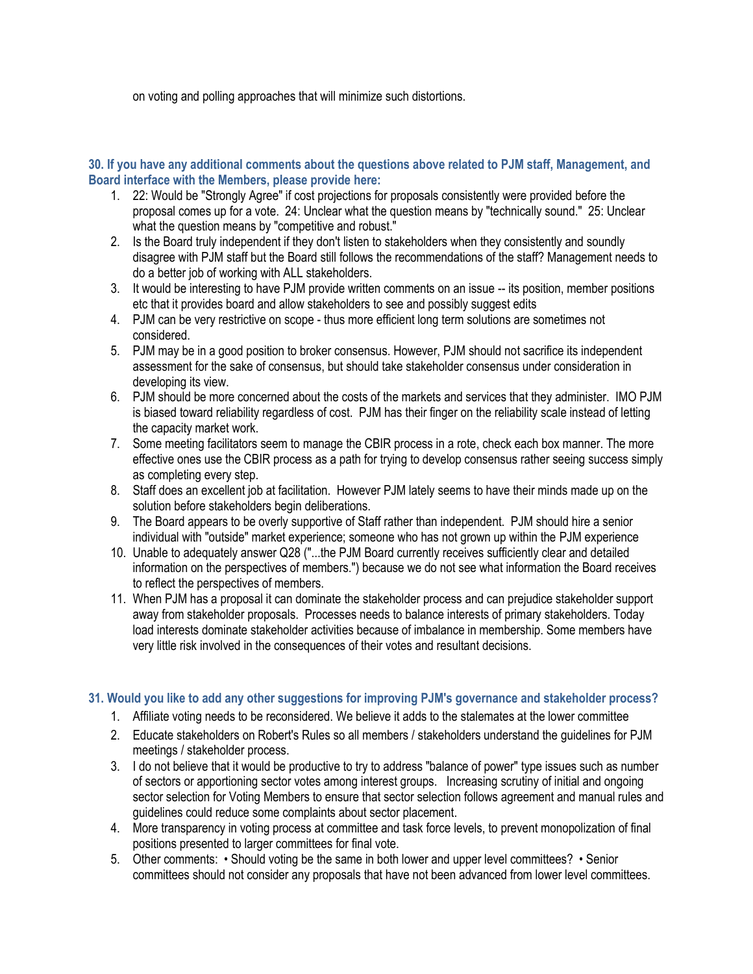on voting and polling approaches that will minimize such distortions.

#### **30. If you have any additional comments about the questions above related to PJM staff, Management, and Board interface with the Members, please provide here:**

- 1. 22: Would be "Strongly Agree" if cost projections for proposals consistently were provided before the proposal comes up for a vote. 24: Unclear what the question means by "technically sound." 25: Unclear what the question means by "competitive and robust."
- 2. Is the Board truly independent if they don't listen to stakeholders when they consistently and soundly disagree with PJM staff but the Board still follows the recommendations of the staff? Management needs to do a better job of working with ALL stakeholders.
- 3. It would be interesting to have PJM provide written comments on an issue -- its position, member positions etc that it provides board and allow stakeholders to see and possibly suggest edits
- 4. PJM can be very restrictive on scope thus more efficient long term solutions are sometimes not considered.
- 5. PJM may be in a good position to broker consensus. However, PJM should not sacrifice its independent assessment for the sake of consensus, but should take stakeholder consensus under consideration in developing its view.
- 6. PJM should be more concerned about the costs of the markets and services that they administer. IMO PJM is biased toward reliability regardless of cost. PJM has their finger on the reliability scale instead of letting the capacity market work.
- 7. Some meeting facilitators seem to manage the CBIR process in a rote, check each box manner. The more effective ones use the CBIR process as a path for trying to develop consensus rather seeing success simply as completing every step.
- 8. Staff does an excellent job at facilitation. However PJM lately seems to have their minds made up on the solution before stakeholders begin deliberations.
- 9. The Board appears to be overly supportive of Staff rather than independent. PJM should hire a senior individual with "outside" market experience; someone who has not grown up within the PJM experience
- 10. Unable to adequately answer Q28 ("...the PJM Board currently receives sufficiently clear and detailed information on the perspectives of members.") because we do not see what information the Board receives to reflect the perspectives of members.
- 11. When PJM has a proposal it can dominate the stakeholder process and can prejudice stakeholder support away from stakeholder proposals. Processes needs to balance interests of primary stakeholders. Today load interests dominate stakeholder activities because of imbalance in membership. Some members have very little risk involved in the consequences of their votes and resultant decisions.

## **31. Would you like to add any other suggestions for improving PJM's governance and stakeholder process?**

- 1. Affiliate voting needs to be reconsidered. We believe it adds to the stalemates at the lower committee
- 2. Educate stakeholders on Robert's Rules so all members / stakeholders understand the guidelines for PJM meetings / stakeholder process.
- 3. I do not believe that it would be productive to try to address "balance of power" type issues such as number of sectors or apportioning sector votes among interest groups. Increasing scrutiny of initial and ongoing sector selection for Voting Members to ensure that sector selection follows agreement and manual rules and guidelines could reduce some complaints about sector placement.
- 4. More transparency in voting process at committee and task force levels, to prevent monopolization of final positions presented to larger committees for final vote.
- 5. Other comments: Should voting be the same in both lower and upper level committees? Senior committees should not consider any proposals that have not been advanced from lower level committees.